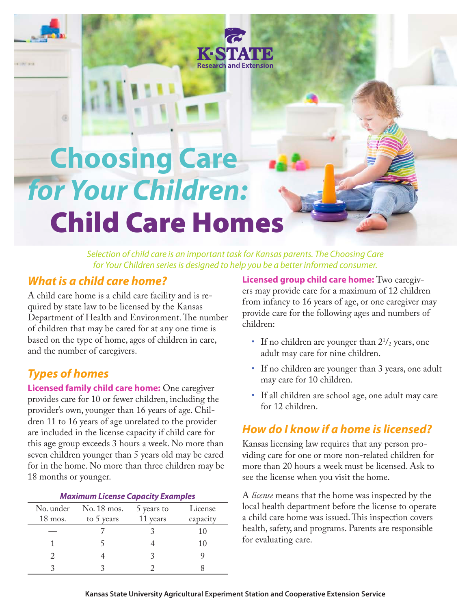# **Choosing Care** *for Your Children:* Child Care Homes

*Selection of child care is an important task for Kansas parents. The Choosing Care for Your Children series is designed to help you be a better informed consumer.*

**Research and Extension** 

#### *What is a child care home?*

A child care home is a child care facility and is required by state law to be licensed by the Kansas Department of Health and Environment. The number of children that may be cared for at any one time is based on the type of home, ages of children in care, and the number of caregivers.

## *Types of homes*

**Licensed family child care home:** One caregiver provides care for 10 or fewer children, including the provider's own, younger than 16 years of age. Children 11 to 16 years of age unrelated to the provider are included in the license capacity if child care for this age group exceeds 3 hours a week. No more than seven children younger than 5 years old may be cared for in the home. No more than three children may be 18 months or younger.

| <b>Maximum License Capacity Examples</b> |                           |                        |                     |
|------------------------------------------|---------------------------|------------------------|---------------------|
| No. under<br>$18 \text{ mos.}$           | No. 18 mos.<br>to 5 years | 5 years to<br>11 years | License<br>capacity |
|                                          |                           |                        | 10                  |
|                                          |                           |                        | 10                  |
|                                          |                           |                        |                     |
|                                          |                           |                        |                     |

**Licensed group child care home:** Two caregivers may provide care for a maximum of 12 children from infancy to 16 years of age, or one caregiver may provide care for the following ages and numbers of children:

- If no children are younger than  $2^{1/2}$  years, one adult may care for nine children.
- If no children are younger than 3 years, one adult may care for 10 children.
- If all children are school age, one adult may care for 12 children.

## *How do I know if a home is licensed?*

Kansas licensing law requires that any person providing care for one or more non-related children for more than 20 hours a week must be licensed. Ask to see the license when you visit the home.

A *license* means that the home was inspected by the local health department before the license to operate a child care home was issued. This inspection covers health, safety, and programs. Parents are responsible for evaluating care.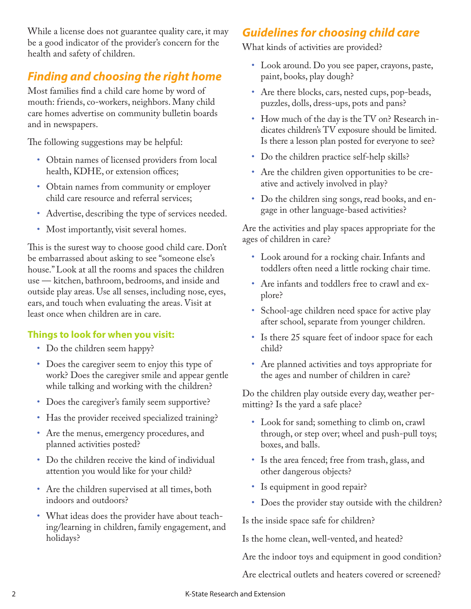While a license does not guarantee quality care, it may be a good indicator of the provider's concern for the health and safety of children.

## *Finding and choosing the right home*

Most families find a child care home by word of mouth: friends, co-workers, neighbors. Many child care homes advertise on community bulletin boards and in newspapers.

The following suggestions may be helpful:

- • Obtain names of licensed providers from local health, KDHE, or extension offices;
- Obtain names from community or employer child care resource and referral services;
- • Advertise, describing the type of services needed.
- Most importantly, visit several homes.

This is the surest way to choose good child care. Don't be embarrassed about asking to see "someone else's house." Look at all the rooms and spaces the children use — kitchen, bathroom, bedrooms, and inside and outside play areas. Use all senses, including nose, eyes, ears, and touch when evaluating the areas. Visit at least once when children are in care.

#### **Things to look for when you visit:**

- Do the children seem happy?
- Does the caregiver seem to enjoy this type of work? Does the caregiver smile and appear gentle while talking and working with the children?
- Does the caregiver's family seem supportive?
- Has the provider received specialized training?
- • Are the menus, emergency procedures, and planned activities posted?
- Do the children receive the kind of individual attention you would like for your child?
- Are the children supervised at all times, both indoors and outdoors?
- • What ideas does the provider have about teaching/learning in children, family engagement, and holidays?

## *Guidelines for choosing child care*

What kinds of activities are provided?

- • Look around. Do you see paper, crayons, paste, paint, books, play dough?
- Are there blocks, cars, nested cups, pop-beads, puzzles, dolls, dress-ups, pots and pans?
- How much of the day is the TV on? Research indicates children's TV exposure should be limited. Is there a lesson plan posted for everyone to see?
- Do the children practice self-help skills?
- • Are the children given opportunities to be creative and actively involved in play?
- Do the children sing songs, read books, and engage in other language-based activities?

Are the activities and play spaces appropriate for the ages of children in care?

- • Look around for a rocking chair. Infants and toddlers often need a little rocking chair time.
- Are infants and toddlers free to crawl and explore?
- School-age children need space for active play after school, separate from younger children.
- Is there 25 square feet of indoor space for each child?
- • Are planned activities and toys appropriate for the ages and number of children in care?

Do the children play outside every day, weather permitting? Is the yard a safe place?

- • Look for sand; something to climb on, crawl through, or step over; wheel and push-pull toys; boxes, and balls.
- • Is the area fenced; free from trash, glass, and other dangerous objects?
- Is equipment in good repair?
- • Does the provider stay outside with the children?

Is the inside space safe for children?

Is the home clean, well-vented, and heated?

Are the indoor toys and equipment in good condition?

Are electrical outlets and heaters covered or screened?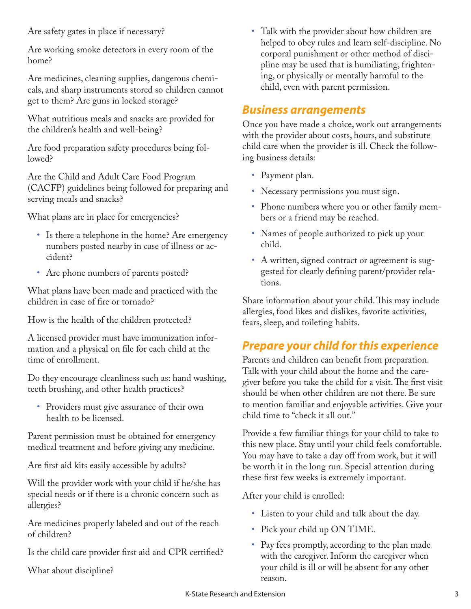Are safety gates in place if necessary?

Are working smoke detectors in every room of the home?

Are medicines, cleaning supplies, dangerous chemicals, and sharp instruments stored so children cannot get to them? Are guns in locked storage?

What nutritious meals and snacks are provided for the children's health and well-being?

Are food preparation safety procedures being followed?

Are the Child and Adult Care Food Program (CACFP) guidelines being followed for preparing and serving meals and snacks?

What plans are in place for emergencies?

- Is there a telephone in the home? Are emergency numbers posted nearby in case of illness or accident?
- Are phone numbers of parents posted?

What plans have been made and practiced with the children in case of fire or tornado?

How is the health of the children protected?

A licensed provider must have immunization information and a physical on file for each child at the time of enrollment.

Do they encourage cleanliness such as: hand washing, teeth brushing, and other health practices?

• Providers must give assurance of their own health to be licensed.

Parent permission must be obtained for emergency medical treatment and before giving any medicine.

Are first aid kits easily accessible by adults?

Will the provider work with your child if he/she has special needs or if there is a chronic concern such as allergies?

Are medicines properly labeled and out of the reach of children?

Is the child care provider first aid and CPR certified?

What about discipline?

• Talk with the provider about how children are helped to obey rules and learn self-discipline. No corporal punishment or other method of discipline may be used that is humiliating, frightening, or physically or mentally harmful to the child, even with parent permission.

#### *Business arrangements*

Once you have made a choice, work out arrangements with the provider about costs, hours, and substitute child care when the provider is ill. Check the following business details:

- Payment plan.
- Necessary permissions you must sign.
- Phone numbers where you or other family members or a friend may be reached.
- Names of people authorized to pick up your child.
- A written, signed contract or agreement is suggested for clearly defining parent/provider relations.

Share information about your child. This may include allergies, food likes and dislikes, favorite activities, fears, sleep, and toileting habits.

## *Prepare your child for this experience*

Parents and children can benefit from preparation. Talk with your child about the home and the caregiver before you take the child for a visit. The first visit should be when other children are not there. Be sure to mention familiar and enjoyable activities. Give your child time to "check it all out."

Provide a few familiar things for your child to take to this new place. Stay until your child feels comfortable. You may have to take a day off from work, but it will be worth it in the long run. Special attention during these first few weeks is extremely important.

After your child is enrolled:

- • Listen to your child and talk about the day.
- Pick your child up ON TIME.
- • Pay fees promptly, according to the plan made with the caregiver. Inform the caregiver when your child is ill or will be absent for any other reason.